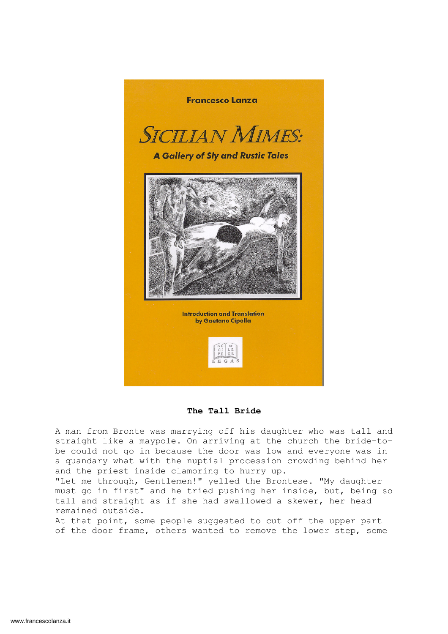

The Tall Bride

A man from Bronte was marrying off his daughter who was tall and straight like a maypole. On arriving at the church the bride-tobe could not go in because the door was low and everyone was in a quandary what with the nuptial procession crowding behind her and the priest inside clamoring to hurry up.

"Let me through, Gentlemen!" yelled the Brontese. "My daughter must go in first" and he tried pushing her inside, but, being so tall and straight as if she had swallowed a skewer, her head remained outside.

At that point, some people suggested to cut off the upper part of the door frame, others wanted to remove the lower step, some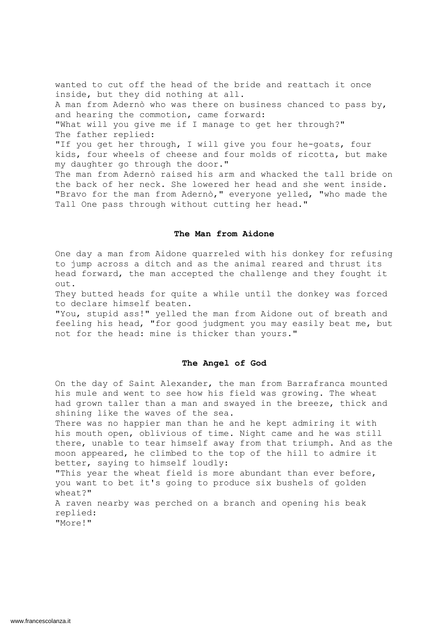wanted to cut off the head of the bride and reattach it once inside, but they did nothing at all. A man from Adernò who was there on business chanced to pass by, and hearing the commotion, came forward: "What will you give me if I manage to get her through?" The father replied: "If you get her through, I will give you four he-goats, four kids, four wheels of cheese and four molds of ricotta, but make my daughter go through the door." The man from Adernò raised his arm and whacked the tall bride on the back of her neck. She lowered her head and she went inside. "Bravo for the man from Adernò," everyone yelled, "who made the Tall One pass through without cutting her head."

#### The Man from Aidone

One day a man from Aidone quarreled with his donkey for refusing to jump across a ditch and as the animal reared and thrust its head forward, the man accepted the challenge and they fought it out.

They butted heads for quite a while until the donkey was forced to declare himself beaten.

"You, stupid ass!" yelled the man from Aidone out of breath and feeling his head, "for good judgment you may easily beat me, but not for the head: mine is thicker than yours."

# The Angel of God

On the day of Saint Alexander, the man from Barrafranca mounted his mule and went to see how his field was growing. The wheat had grown taller than a man and swayed in the breeze, thick and shining like the waves of the sea.

There was no happier man than he and he kept admiring it with his mouth open, oblivious of time. Night came and he was still there, unable to tear himself away from that triumph. And as the moon appeared, he climbed to the top of the hill to admire it better, saying to himself loudly:

"This year the wheat field is more abundant than ever before, you want to bet it's going to produce six bushels of golden wheat?"

A raven nearby was perched on a branch and opening his beak replied: "More!"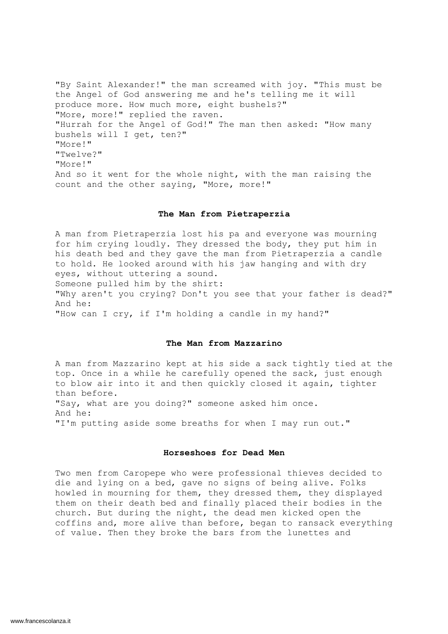"By Saint Alexander!" the man screamed with joy. "This must be the Angel of God answering me and he's telling me it will produce more. How much more, eight bushels?" "More, more!" replied the raven. "Hurrah for the Angel of God!" The man then asked: "How many bushels will I get, ten?" "More!" "Twelve?" "More!" And so it went for the whole night, with the man raising the count and the other saying, "More, more!"

## The Man from Pietraperzia

A man from Pietraperzia lost his pa and everyone was mourning for him crying loudly. They dressed the body, they put him in his death bed and they gave the man from Pietraperzia a candle to hold. He looked around with his jaw hanging and with dry eyes, without uttering a sound. Someone pulled him by the shirt:

"Why aren't you crying? Don't you see that your father is dead?" And he:

"How can I cry, if I'm holding a candle in my hand?"

## The Man from Mazzarino

A man from Mazzarino kept at his side a sack tightly tied at the top. Once in a while he carefully opened the sack, just enough to blow air into it and then quickly closed it again, tighter than before. "Say, what are you doing?" someone asked him once. And he: "I'm putting aside some breaths for when I may run out."

## Horseshoes for Dead Men

Two men from Caropepe who were professional thieves decided to die and lying on a bed, gave no signs of being alive. Folks howled in mourning for them, they dressed them, they displayed them on their death bed and finally placed their bodies in the church. But during the night, the dead men kicked open the coffins and, more alive than before, began to ransack everything of value. Then they broke the bars from the lunettes and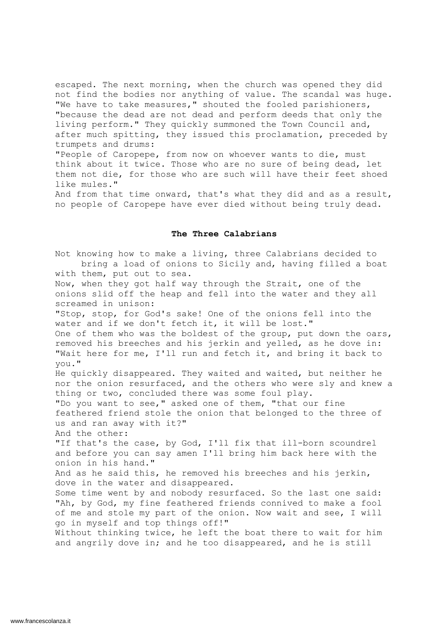escaped. The next morning, when the church was opened they did not find the bodies nor anything of value. The scandal was huge. "We have to take measures," shouted the fooled parishioners, "because the dead are not dead and perform deeds that only the living perform." They quickly summoned the Town Council and, after much spitting, they issued this proclamation, preceded by trumpets and drums:

"People of Caropepe, from now on whoever wants to die, must think about it twice. Those who are no sure of being dead, let them not die, for those who are such will have their feet shoed like mules."

And from that time onward, that's what they did and as a result, no people of Caropepe have ever died without being truly dead.

#### The Three Calabrians

Not knowing how to make a living, three Calabrians decided to bring a load of onions to Sicily and, having filled a boat with them, put out to sea. Now, when they got half way through the Strait, one of the onions slid off the heap and fell into the water and they all screamed in unison: "Stop, stop, for God's sake! One of the onions fell into the water and if we don't fetch it, it will be lost." One of them who was the boldest of the group, put down the oars, removed his breeches and his jerkin and yelled, as he dove in: "Wait here for me, I'll run and fetch it, and bring it back to you." He quickly disappeared. They waited and waited, but neither he nor the onion resurfaced, and the others who were sly and knew a thing or two, concluded there was some foul play. "Do you want to see," asked one of them, "that our fine feathered friend stole the onion that belonged to the three of us and ran away with it?" And the other: "If that's the case, by God, I'll fix that ill-born scoundrel and before you can say amen I'll bring him back here with the onion in his hand." And as he said this, he removed his breeches and his jerkin, dove in the water and disappeared. Some time went by and nobody resurfaced. So the last one said: "Ah, by God, my fine feathered friends connived to make a fool of me and stole my part of the onion. Now wait and see, I will go in myself and top things off!" Without thinking twice, he left the boat there to wait for him and angrily dove in; and he too disappeared, and he is still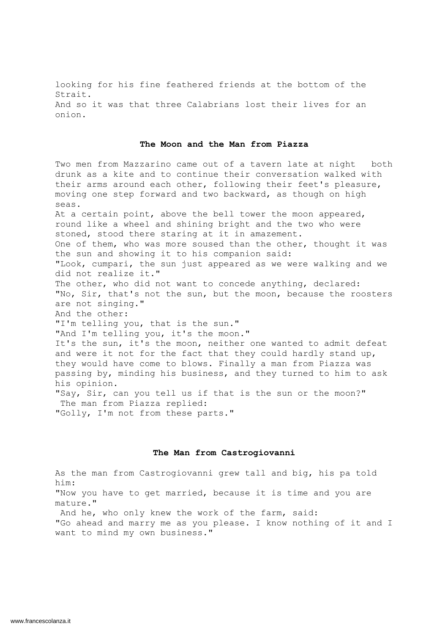looking for his fine feathered friends at the bottom of the Strait. And so it was that three Calabrians lost their lives for an onion.

# The Moon and the Man from Piazza

Two men from Mazzarino came out of a tavern late at night both drunk as a kite and to continue their conversation walked with their arms around each other, following their feet's pleasure, moving one step forward and two backward, as though on high seas. At a certain point, above the bell tower the moon appeared, round like a wheel and shining bright and the two who were stoned, stood there staring at it in amazement. One of them, who was more soused than the other, thought it was the sun and showing it to his companion said: "Look, cumpari, the sun just appeared as we were walking and we did not realize it." The other, who did not want to concede anything, declared: "No, Sir, that's not the sun, but the moon, because the roosters are not singing." And the other: "I'm telling you, that is the sun." "And I'm telling you, it's the moon." It's the sun, it's the moon, neither one wanted to admit defeat and were it not for the fact that they could hardly stand up, they would have come to blows. Finally a man from Piazza was passing by, minding his business, and they turned to him to ask his opinion. "Say, Sir, can you tell us if that is the sun or the moon?" The man from Piazza replied: "Golly, I'm not from these parts."

#### The Man from Castrogiovanni

As the man from Castrogiovanni grew tall and big, his pa told him: "Now you have to get married, because it is time and you are mature." And he, who only knew the work of the farm, said: "Go ahead and marry me as you please. I know nothing of it and I want to mind my own business."